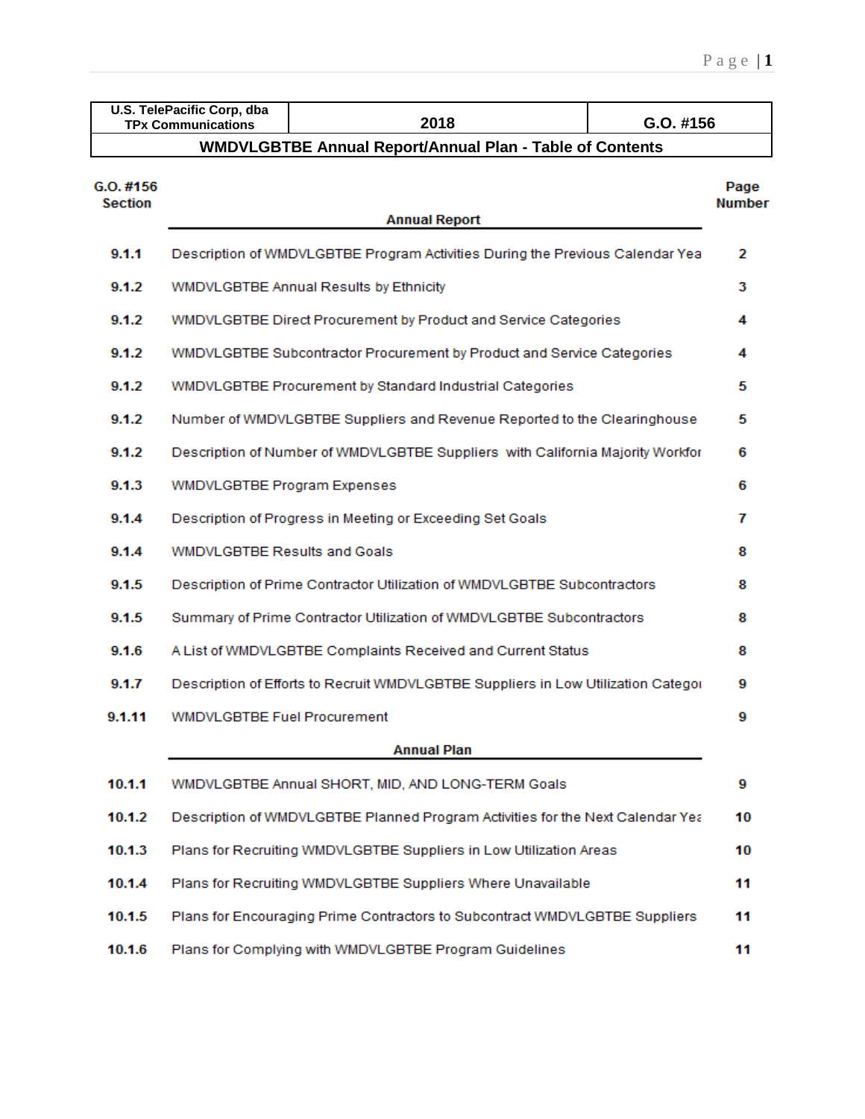|                              | U.S. TelePacific Corp, dba<br>2018<br>G.O. #156<br><b>TPx Communications</b>   |                                                                                   |  |    |  |  |  |  |  |  |  |  |  |
|------------------------------|--------------------------------------------------------------------------------|-----------------------------------------------------------------------------------|--|----|--|--|--|--|--|--|--|--|--|
|                              | <b>WMDVLGBTBE Annual Report/Annual Plan - Table of Contents</b>                |                                                                                   |  |    |  |  |  |  |  |  |  |  |  |
| G. O. #156<br><b>Section</b> | <b>Annual Report</b>                                                           |                                                                                   |  |    |  |  |  |  |  |  |  |  |  |
| 9.1.1                        | Description of WMDVLGBTBE Program Activities During the Previous Calendar Yea  |                                                                                   |  |    |  |  |  |  |  |  |  |  |  |
| 9.1.2                        | WMDVLGBTBE Annual Results by Ethnicity                                         |                                                                                   |  |    |  |  |  |  |  |  |  |  |  |
| 9.1.2                        |                                                                                | WMDVLGBTBE Direct Procurement by Product and Service Categories                   |  | 4  |  |  |  |  |  |  |  |  |  |
| 9.1.2                        |                                                                                | WMDVLGBTBE Subcontractor Procurement by Product and Service Categories            |  | 4  |  |  |  |  |  |  |  |  |  |
| 9.1.2                        |                                                                                | WMDVLGBTBE Procurement by Standard Industrial Categories                          |  | 5  |  |  |  |  |  |  |  |  |  |
| 9.1.2                        | Number of WMDVLGBTBE Suppliers and Revenue Reported to the Clearinghouse       |                                                                                   |  |    |  |  |  |  |  |  |  |  |  |
| 9.1.2                        | Description of Number of WMDVLGBTBE Suppliers with California Majority Workfor |                                                                                   |  |    |  |  |  |  |  |  |  |  |  |
| 9.1.3                        | <b>WMDVLGBTBE Program Expenses</b>                                             |                                                                                   |  |    |  |  |  |  |  |  |  |  |  |
| 9.1.4                        | Description of Progress in Meeting or Exceeding Set Goals                      |                                                                                   |  |    |  |  |  |  |  |  |  |  |  |
| 9.1.4                        | <b>WMDVLGBTBE Results and Goals</b>                                            |                                                                                   |  |    |  |  |  |  |  |  |  |  |  |
| 9.1.5                        | Description of Prime Contractor Utilization of WMDVLGBTBE Subcontractors       |                                                                                   |  |    |  |  |  |  |  |  |  |  |  |
| 9.1.5                        |                                                                                | Summary of Prime Contractor Utilization of WMDVLGBTBE Subcontractors              |  | 8  |  |  |  |  |  |  |  |  |  |
| 9.1.6                        |                                                                                | A List of WMDVLGBTBE Complaints Received and Current Status                       |  | 8  |  |  |  |  |  |  |  |  |  |
| 9.1.7                        |                                                                                | Description of Efforts to Recruit WMDVLGBTBE Suppliers in Low Utilization Categor |  | 9  |  |  |  |  |  |  |  |  |  |
| 9.1.11                       | <b>WMDVLGBTBE Fuel Procurement</b>                                             |                                                                                   |  | 9  |  |  |  |  |  |  |  |  |  |
|                              |                                                                                | <b>Annual Plan</b>                                                                |  |    |  |  |  |  |  |  |  |  |  |
| 10.1.1                       |                                                                                | WMDVLGBTBE Annual SHORT, MID, AND LONG-TERM Goals                                 |  | 9  |  |  |  |  |  |  |  |  |  |
| 10.1.2                       |                                                                                | Description of WMDVLGBTBE Planned Program Activities for the Next Calendar Yea    |  | 10 |  |  |  |  |  |  |  |  |  |
| 10.1.3                       | Plans for Recruiting WMDVLGBTBE Suppliers in Low Utilization Areas             |                                                                                   |  |    |  |  |  |  |  |  |  |  |  |
| 10.1.4                       | Plans for Recruiting WMDVLGBTBE Suppliers Where Unavailable                    |                                                                                   |  |    |  |  |  |  |  |  |  |  |  |
| 10.1.5                       |                                                                                | Plans for Encouraging Prime Contractors to Subcontract WMDVLGBTBE Suppliers       |  | 11 |  |  |  |  |  |  |  |  |  |
| 10.1.6                       | Plans for Complying with WMDVLGBTBE Program Guidelines                         |                                                                                   |  |    |  |  |  |  |  |  |  |  |  |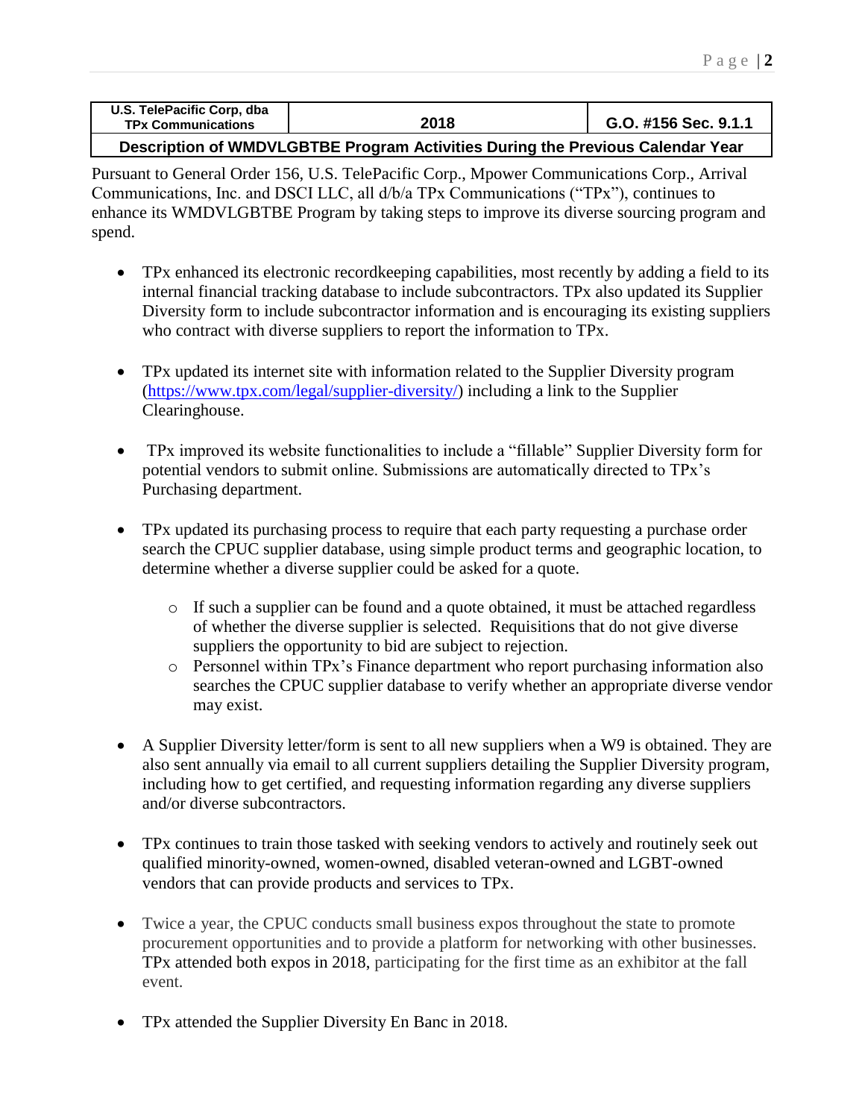| U.S. TelePacific Corp, dba<br><b>TPx Communications</b> | 2018 | G.O. #156 Sec. 9.1.1 |
|---------------------------------------------------------|------|----------------------|
|                                                         |      |                      |

**Description of WMDVLGBTBE Program Activities During the Previous Calendar Year**

Pursuant to General Order 156, U.S. TelePacific Corp., Mpower Communications Corp., Arrival Communications, Inc. and DSCI LLC, all d/b/a TPx Communications ("TPx"), continues to enhance its WMDVLGBTBE Program by taking steps to improve its diverse sourcing program and spend.

- TPx enhanced its electronic recordkeeping capabilities, most recently by adding a field to its internal financial tracking database to include subcontractors. TPx also updated its Supplier Diversity form to include subcontractor information and is encouraging its existing suppliers who contract with diverse suppliers to report the information to TPx.
- TPx updated its internet site with information related to the Supplier Diversity program [\(https://www.tpx.com/legal/supplier-diversity/\)](https://www.tpx.com/legal/supplier-diversity/) including a link to the Supplier Clearinghouse.
- TPx improved its website functionalities to include a "fillable" Supplier Diversity form for potential vendors to submit online. Submissions are automatically directed to TPx's Purchasing department.
- TPx updated its purchasing process to require that each party requesting a purchase order search the CPUC supplier database, using simple product terms and geographic location, to determine whether a diverse supplier could be asked for a quote.
	- o If such a supplier can be found and a quote obtained, it must be attached regardless of whether the diverse supplier is selected. Requisitions that do not give diverse suppliers the opportunity to bid are subject to rejection.
	- o Personnel within TPx's Finance department who report purchasing information also searches the CPUC supplier database to verify whether an appropriate diverse vendor may exist.
- A Supplier Diversity letter/form is sent to all new suppliers when a W9 is obtained. They are also sent annually via email to all current suppliers detailing the Supplier Diversity program, including how to get certified, and requesting information regarding any diverse suppliers and/or diverse subcontractors.
- TPx continues to train those tasked with seeking vendors to actively and routinely seek out qualified minority-owned, women-owned, disabled veteran-owned and LGBT-owned vendors that can provide products and services to TPx.
- Twice a year, the CPUC conducts small business expos throughout the state to promote procurement opportunities and to provide a platform for networking with other businesses. TPx attended both expos in 2018, participating for the first time as an exhibitor at the fall event.
- TPx attended the Supplier Diversity En Banc in 2018.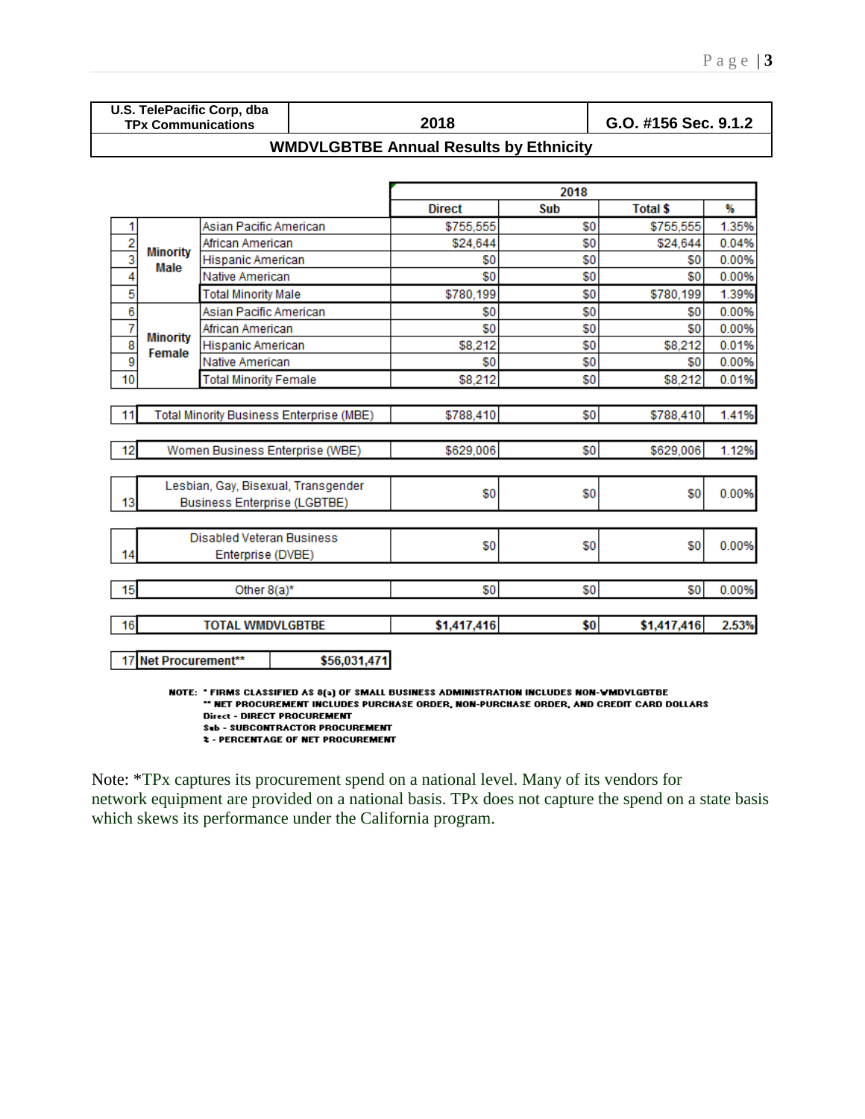% 1.35%

0.04%

0.00%

0.00%

1.39%

0.00%

0.00%

0.01%

0.00%

0.01%

1.41%

1.12%

0.00%

0.00%

0.00%

2.53%

\$0

\$0

\$8,212

\$8,212

\$788,410

\$629,006

\$0

\$0

\$0

\$1,417,416

|  |  |                           | U.S. TelePacific Corp, dba |
|--|--|---------------------------|----------------------------|
|  |  | <b>TPx Communications</b> |                            |

African American

Native American

Hispanic American

**Total Minority Female** 

Total Minority Business Enterprise (MBE)

Women Business Enterprise (WBE)

Lesbian, Gay, Bisexual, Transgender

**Business Enterprise (LGBTBE)** 

**Disabled Veteran Business** 

Enterprise (DVBE)

Other 8(a)\*

**TOTAL WMDVLGBTBE** 

1  $\overline{2}$ 

 $\overline{\overline{\overline{3}}}$ 

 $\overline{4}$ 

5

 $\overline{6}$ 

 $\overline{7}$ 

8

9

10

 $11$ 

 $12$ 

13

14

15

16

**Minority** 

Female

**TPx Communications 2018 G.O. #156 Sec. 9.1.2**

|                  |                            |               | 2018 |                 |
|------------------|----------------------------|---------------|------|-----------------|
|                  |                            | <b>Direct</b> | Sub  | <b>Total \$</b> |
|                  | Asian Pacific American     | \$755,555     | \$0  | \$755,55        |
|                  | African American           | \$24,644      | \$0  | \$24,644        |
| Minority<br>Male | <b>Hispanic American</b>   | \$0           | \$0  | \$1             |
|                  | Native American            | \$0           | \$0  | \$              |
|                  | <b>Total Minority Male</b> | \$780,199     | \$0  | \$780,199       |
|                  | Asian Pacific American     | \$0           | \$0  | \$0             |

\$0

\$0

\$8,212

\$8,212

\$788,410

\$629,006

\$0

\$0

\$0

\$1,417,416

\$0

\$0

\$0

\$0

\$0

\$0

\$0

\$0

\$0

\$0

## **WMDVLGBTBE Annual Results by Ethnicity**

17 Net Procurement\*\* \$56,031,471 NOTE: "FIRMS CLASSIFIED AS 8(a) OF SMALL BUSINESS ADMINISTRATION INCLUDES NON-WMDYLGBTBE \*\* NET PROCUREMENT INCLUDES PURCHASE ORDER, NON-PURCHASE ORDER, AND CREDIT CARD DOLLARS **Direct - DIRECT PROCUREMENT Sub - SUBCONTRACTOR PROCUREMENT** 

**2 - PERCENTAGE OF NET PROCUREMENT** 

Note: \*TPx captures its procurement spend on a national level. Many of its vendors for network equipment are provided on a national basis. TPx does not capture the spend on a state basis which skews its performance under the California program.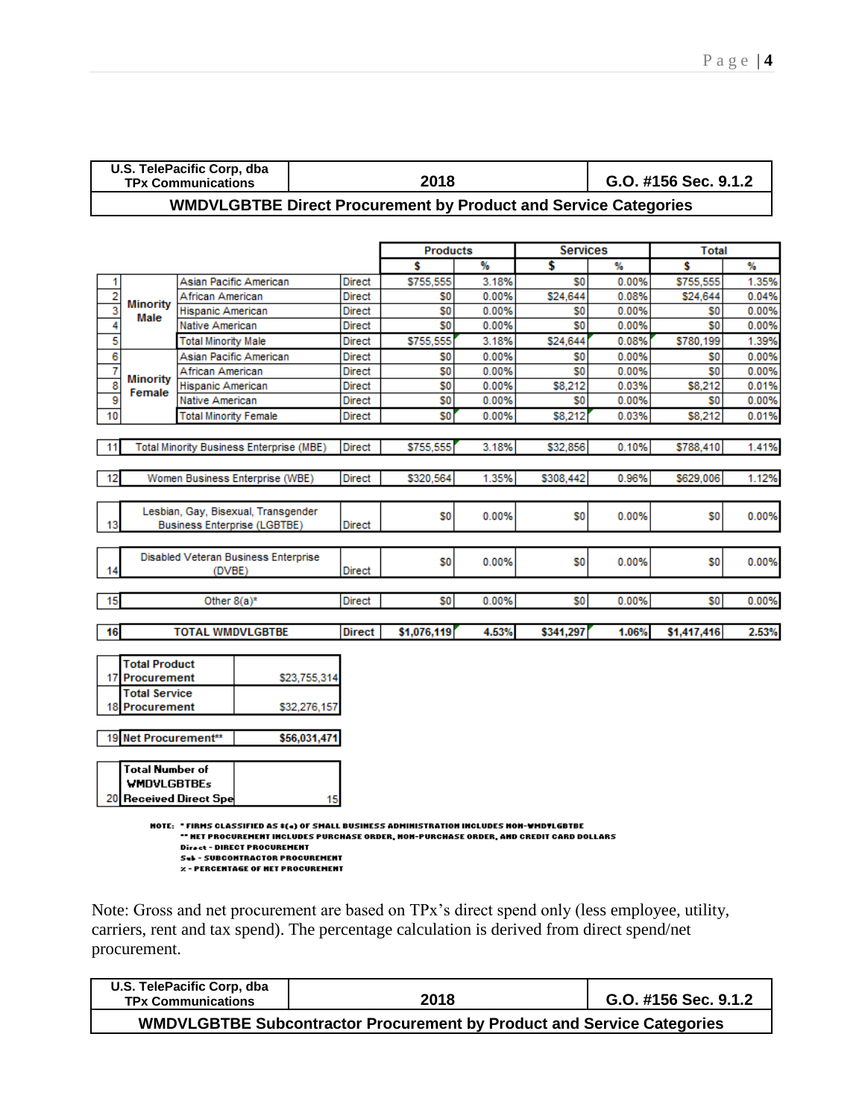|    |                        | U.S. TelePacific Corp, dba<br><b>TPx Communications</b>                                                                                                                                                     |               | 2018            | G.O. #156 Sec. 9.1.2 |                 |       |                |       |
|----|------------------------|-------------------------------------------------------------------------------------------------------------------------------------------------------------------------------------------------------------|---------------|-----------------|----------------------|-----------------|-------|----------------|-------|
|    |                        | <b>WMDVLGBTBE Direct Procurement by Product and Service Categories</b>                                                                                                                                      |               |                 |                      |                 |       |                |       |
|    |                        |                                                                                                                                                                                                             |               |                 |                      |                 |       |                |       |
|    |                        |                                                                                                                                                                                                             |               | <b>Products</b> |                      | <b>Services</b> |       | <b>Total</b>   |       |
|    |                        |                                                                                                                                                                                                             |               | Ŝ               | %                    | \$              | ₩     | Ŝ              | %     |
| 1  |                        | Asian Pacific American                                                                                                                                                                                      | Direct        | \$755,555       | 3.18%                | S0              | 0.00% | \$755,555      | 1.35% |
| 2  | <b>Minority</b>        | African American                                                                                                                                                                                            | Direct        | S <sub>0</sub>  | 0.00%                | \$24,644        | 0.08% | \$24,644       | 0.04% |
| 3  | Male                   | Hispanic American                                                                                                                                                                                           | Direct        | S0              | 0.00%                | S0              | 0.00% | S0             | 0.00% |
| 4  |                        | Native American                                                                                                                                                                                             | Direct        | S0              | 0.00%                | S0              | 0.00% | S0             | 0.00% |
| 5  |                        | <b>Total Minority Male</b>                                                                                                                                                                                  | Direct        | \$755,555       | 3.18%                | \$24,644        | 0.08% | \$780.199      | 1.39% |
| 6  |                        | Asian Pacific American                                                                                                                                                                                      | Direct        | S0              | 0.00%                | S0              | 0.00% | S <sub>0</sub> | 0.00% |
| 7  | <b>Minority</b>        | African American                                                                                                                                                                                            | Direct        | S0              | 0.00%                | S0              | 0.00% | S0             | 0.00% |
| 8  | Female                 | Hispanic American                                                                                                                                                                                           | Direct        | S0              | 0.00%                | \$8,212         | 0.03% | \$8,212        | 0.01% |
| 9  |                        | Native American                                                                                                                                                                                             | Direct        | S0              | 0.00%                | S0              | 0.00% | S0             | 0.00% |
| 10 |                        | <b>Total Minority Female</b>                                                                                                                                                                                | Direct        | \$0             | 0.00%                | \$8,212         | 0.03% | \$8,212        | 0.01% |
|    |                        |                                                                                                                                                                                                             |               |                 |                      |                 |       |                |       |
| 11 |                        | Total Minority Business Enterprise (MBE)                                                                                                                                                                    | <b>Direct</b> | \$755,555       | 3.18%                | \$32,856        | 0.10% | \$788,410      | 1.41% |
|    |                        |                                                                                                                                                                                                             |               |                 |                      |                 |       |                |       |
| 12 |                        | Women Business Enterprise (WBE)                                                                                                                                                                             | <b>Direct</b> | \$320,564       | 1.35%                | \$308,442       | 0.96% | \$629,006      | 1.12% |
|    |                        |                                                                                                                                                                                                             |               |                 |                      |                 |       |                |       |
| 13 |                        | Lesbian, Gay, Bisexual, Transgender<br><b>Business Enterprise (LGBTBE)</b>                                                                                                                                  | <b>Direct</b> | S0              | 0.00%                | S <sub>0</sub>  | 0.00% | S0             | 0.00% |
| 14 |                        | Disabled Veteran Business Enterprise<br>(DVBE)                                                                                                                                                              | Direct        | S0              | 0.00%                | S0              | 0.00% | S0             | 0.00% |
|    |                        |                                                                                                                                                                                                             |               |                 |                      |                 |       |                |       |
| 15 |                        | Other $8(a)^*$                                                                                                                                                                                              | <b>Direct</b> | \$0             | 0.00%                | S0              | 0.00% | S0             | 0.00% |
| 16 |                        | <b>TOTAL WMDVLGBTBE</b>                                                                                                                                                                                     | Direct        | \$1,076,119     | 4.53%                | \$341,297       | 1.06% | \$1,417,416    | 2.53% |
|    |                        |                                                                                                                                                                                                             |               |                 |                      |                 |       |                |       |
|    | <b>Total Product</b>   |                                                                                                                                                                                                             |               |                 |                      |                 |       |                |       |
|    | 17 Procurement         |                                                                                                                                                                                                             | \$23,755,314  |                 |                      |                 |       |                |       |
|    | <b>Total Service</b>   |                                                                                                                                                                                                             |               |                 |                      |                 |       |                |       |
| 18 | Procurement            |                                                                                                                                                                                                             | \$32,276,157  |                 |                      |                 |       |                |       |
|    |                        |                                                                                                                                                                                                             |               |                 |                      |                 |       |                |       |
|    | 19 Net Procurement**   |                                                                                                                                                                                                             | \$56,031,471  |                 |                      |                 |       |                |       |
|    | <b>Total Number of</b> |                                                                                                                                                                                                             |               |                 |                      |                 |       |                |       |
|    | <b>WMDVLGBTBEs</b>     |                                                                                                                                                                                                             |               |                 |                      |                 |       |                |       |
|    |                        | 20 Received Direct Spe                                                                                                                                                                                      | 15            |                 |                      |                 |       |                |       |
|    |                        | NOTE: "FIRMS CLASSIFIED AS #(4) OF SMALL BUSINESS ADMINISTRATION INCLUDES NON-WMDVLGBTBE<br>" MET PROCUREMENT INCLUDES PURCHASE ORDER, NON-PURCHASE ORDER, AND CREDIT CARD DOLLARS<br>– BIRFAT PRAAIIRFWFWT |               |                 |                      |                 |       |                |       |

- **Sub-SUBCONTRACTOR PROCUREMENT**
- **z** PERCENTAGE OF NET PROCUREMENT

Note: Gross and net procurement are based on TPx's direct spend only (less employee, utility, carriers, rent and tax spend). The percentage calculation is derived from direct spend/net procurement.

| U.S. TelePacific Corp, dba<br><b>TPx Communications</b> | 2018                                                                          | G.O. #156 Sec. 9.1.2 |
|---------------------------------------------------------|-------------------------------------------------------------------------------|----------------------|
|                                                         | <b>WMDVLGBTBE Subcontractor Procurement by Product and Service Categories</b> |                      |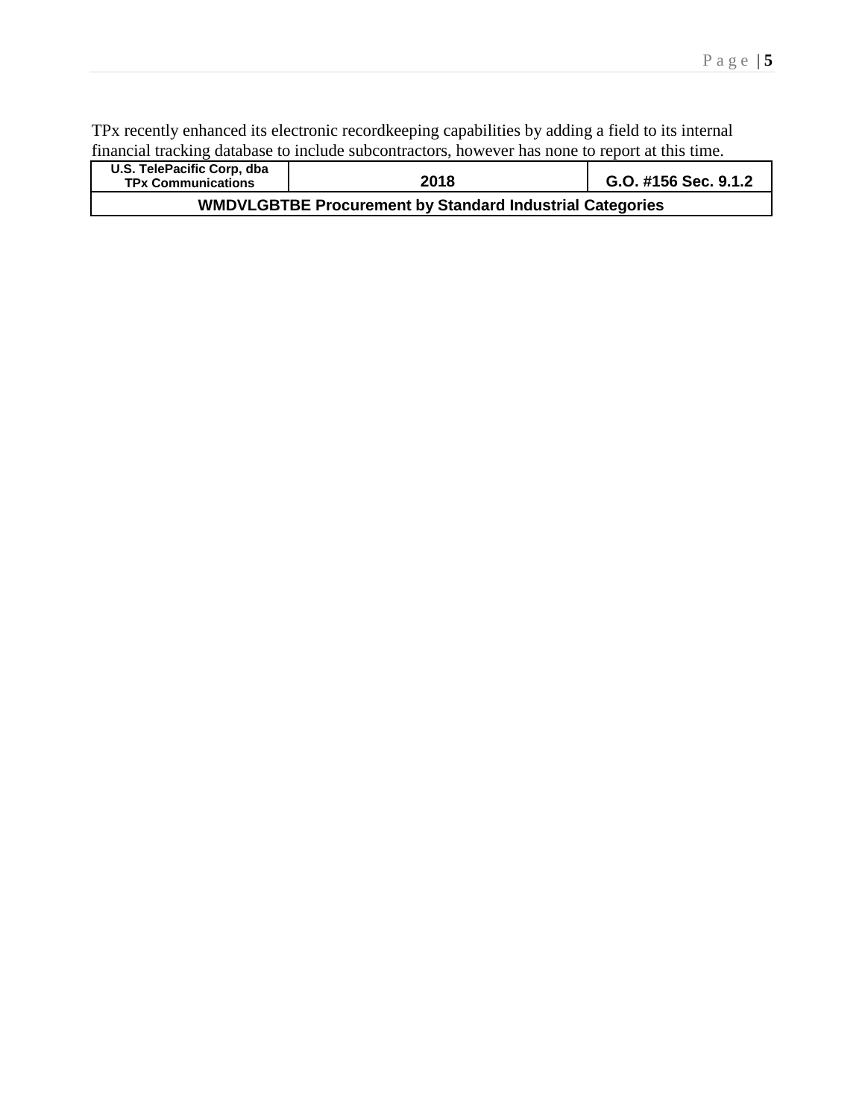TPx recently enhanced its electronic recordkeeping capabilities by adding a field to its internal financial tracking database to include subcontractors, however has none to report at this time.

| U.S. TelePacific Corp, dba<br><b>TPx Communications</b> | 2018                                                            | G.O. #156 Sec. 9.1.2 |  |  |  |  |
|---------------------------------------------------------|-----------------------------------------------------------------|----------------------|--|--|--|--|
|                                                         | <b>WMDVLGBTBE Procurement by Standard Industrial Categories</b> |                      |  |  |  |  |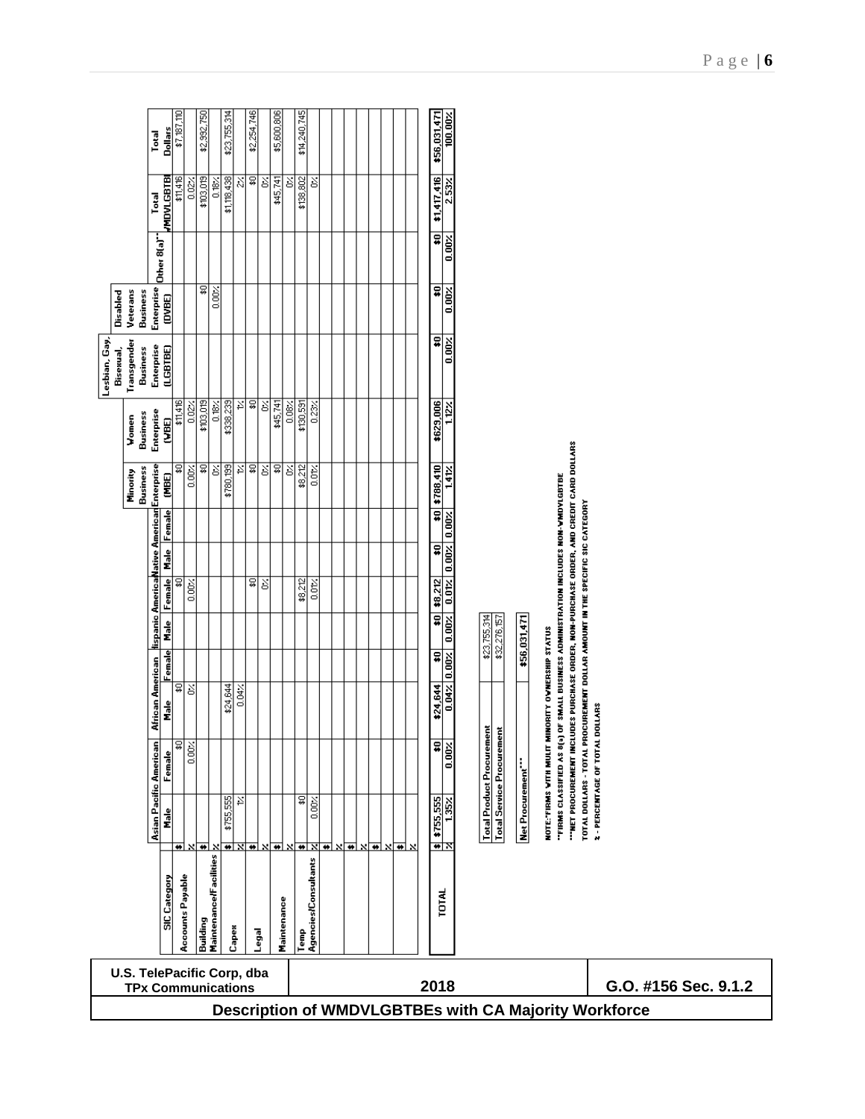|               |                                                         | Dollars<br>Total                                                 | \$7,187,110 |                         | \$2,992,750 |                        | \$23,755,314 |       | \$2,254,746 |        | \$5,600,806 |       | \$14,240,745 |                      |  |  |                                                  | \$56,031,471<br>100.00%                         |                      |                                  |                                  |                   |                                                   |                                                          |                                                                                                                                                                        |                                 |  |  |
|---------------|---------------------------------------------------------|------------------------------------------------------------------|-------------|-------------------------|-------------|------------------------|--------------|-------|-------------|--------|-------------|-------|--------------|----------------------|--|--|--------------------------------------------------|-------------------------------------------------|----------------------|----------------------------------|----------------------------------|-------------------|---------------------------------------------------|----------------------------------------------------------|------------------------------------------------------------------------------------------------------------------------------------------------------------------------|---------------------------------|--|--|
|               |                                                         | <b>HADATGB1B</b><br>Total                                        | \$11,416    | $rac{1}{2}$             | \$103,019   | 0.18%                  | \$1,118,438  | Š,    | g           | š      | \$45,741    | Š     | \$138,802    | š                    |  |  |                                                  | \$1,417,416                                     | $2.53\times$         |                                  |                                  |                   |                                                   |                                                          |                                                                                                                                                                        |                                 |  |  |
|               |                                                         | Other 8(a)"                                                      |             |                         |             |                        |              |       |             |        |             |       |              |                      |  |  |                                                  | ⋥<br>0.00%                                      |                      |                                  |                                  |                   |                                                   |                                                          |                                                                                                                                                                        |                                 |  |  |
|               | Disabled<br>Veterans<br><b>Business</b>                 | Enterprise<br>(DVBE)                                             |             |                         | ₽           | 0.00%                  |              |       |             |        |             |       |              |                      |  |  |                                                  | ¥                                               | $0.00\times$         |                                  |                                  |                   |                                                   |                                                          |                                                                                                                                                                        |                                 |  |  |
| Lesbian, Gay, | Transgender<br>Bisexual,<br>Business                    | Enterprise<br>(LGBTBE)                                           |             |                         |             |                        |              |       |             |        |             |       |              |                      |  |  |                                                  | ₽                                               | $0.00\%$             |                                  |                                  |                   |                                                   |                                                          |                                                                                                                                                                        |                                 |  |  |
|               | Business<br>Vomen                                       | Enterprise<br><b>CABE)</b>                                       | \$11,416    | $rac{2}{5}$             | \$103,019   | 0.18%                  | \$338,239    | ř     | \$          | š      | \$45,741    | 0.08% | \$130,591    | 0.23                 |  |  |                                                  | \$629,006                                       | 112                  |                                  |                                  |                   |                                                   |                                                          |                                                                                                                                                                        |                                 |  |  |
|               | Business<br>Minority                                    | E                                                                | ₽           | $0.00\times$            | ₽           | š                      | \$780,199    | ř     | \$          | $\geq$ | g           | š     | \$8,212      | 0.01                 |  |  |                                                  | $$10$ $$788,410$                                | 141%                 |                                  |                                  |                   |                                                   |                                                          |                                                                                                                                                                        |                                 |  |  |
|               |                                                         | lispanic AmericaNative American Enterprise<br><b>Male Female</b> |             |                         |             |                        |              |       |             |        |             |       |              |                      |  |  |                                                  | $0.01$ % $0.00$ % $0.00$<br>#                   |                      |                                  |                                  |                   |                                                   |                                                          |                                                                                                                                                                        |                                 |  |  |
|               |                                                         | Female                                                           | ₽           | 0.00%                   |             |                        |              |       | ଛ           | $\geq$ |             |       | \$8,212      | 0.01                 |  |  |                                                  | \$8,212                                         |                      |                                  |                                  |                   |                                                   |                                                          |                                                                                                                                                                        |                                 |  |  |
|               |                                                         | Male                                                             |             |                         |             |                        |              |       |             |        |             |       |              |                      |  |  |                                                  | $\overline{\mathbf{e}}$<br>$0.00 \times$<br>\$O |                      | \$23,755,314                     | \$32,276,157                     | \$56,031,471      |                                                   |                                                          |                                                                                                                                                                        |                                 |  |  |
|               |                                                         | Female<br>African American<br>de<br>E                            | 유           | š                       |             |                        | \$24,644     | 0.04  |             |        |             |       |              |                      |  |  |                                                  | $\boxed{0.00 \times}$<br>\$24,644               | $0.04 \times$        |                                  |                                  |                   | NOTE: "FIRMS WITH MULIT MINORITY OWNERSHIP STATUS | OF SMALL BUSINESS ADMINISTRATION INCLUDES NON-VMDYLGBTBE | ""NET PROCUREMENT INCLUDES PURCHASE ORDER, NON-PURCHASE ORDER, AND CREDIT CARD DOLLARS<br>TOTAL DOLLARS - TOTAL PROCUREMENT DOLLAR AMOUNT IN THE SPECIFIC SIC CATEGORY |                                 |  |  |
|               |                                                         | Female                                                           | ≅           | $0.00 \times$           |             |                        |              |       |             |        |             |       |              |                      |  |  |                                                  | ₽<br>$\sqrt{100}$                               |                      | <b>Total Product Procurement</b> | <b>Total Service Procurement</b> |                   |                                                   | "FIRMS CLASSIFIED AS 8(a)                                |                                                                                                                                                                        | 2 - PERCENTAGE OF TOTAL DOLLARS |  |  |
|               |                                                         | Asian Pacific American<br>i<br>E                                 |             |                         | ন৲নি৲       |                        | \$755,555    | ¥,    |             |        |             |       | ত্ন          | $0.00\times$         |  |  | <u>बाह्य बाह्य बाह्य बाह्य बाह्य बाह्य बाह्य</u> | $\frac{1}{2}$ $\frac{1}{2}$ $\frac{1352}{1352}$ |                      |                                  |                                  | Net Procurement." |                                                   |                                                          |                                                                                                                                                                        |                                 |  |  |
|               |                                                         | <b>SIC</b> Category                                              |             | <b>Accounts Payable</b> | Building    | Maintenance/Facilities |              | Capex |             | Legal  | Maintenance |       | Temp         | Agencies/Consultants |  |  |                                                  | TOTAL                                           |                      |                                  |                                  |                   |                                                   |                                                          |                                                                                                                                                                        |                                 |  |  |
|               | U.S. TelePacific Corp, dba<br><b>TPx Communications</b> |                                                                  |             |                         |             |                        |              |       |             | 2018   |             |       |              |                      |  |  |                                                  |                                                 | G.O. #156 Sec. 9.1.2 |                                  |                                  |                   |                                                   |                                                          |                                                                                                                                                                        |                                 |  |  |
|               | Description of WMDVLGBTBEs with CA Majority Workforce   |                                                                  |             |                         |             |                        |              |       |             |        |             |       |              |                      |  |  |                                                  |                                                 |                      |                                  |                                  |                   |                                                   |                                                          |                                                                                                                                                                        |                                 |  |  |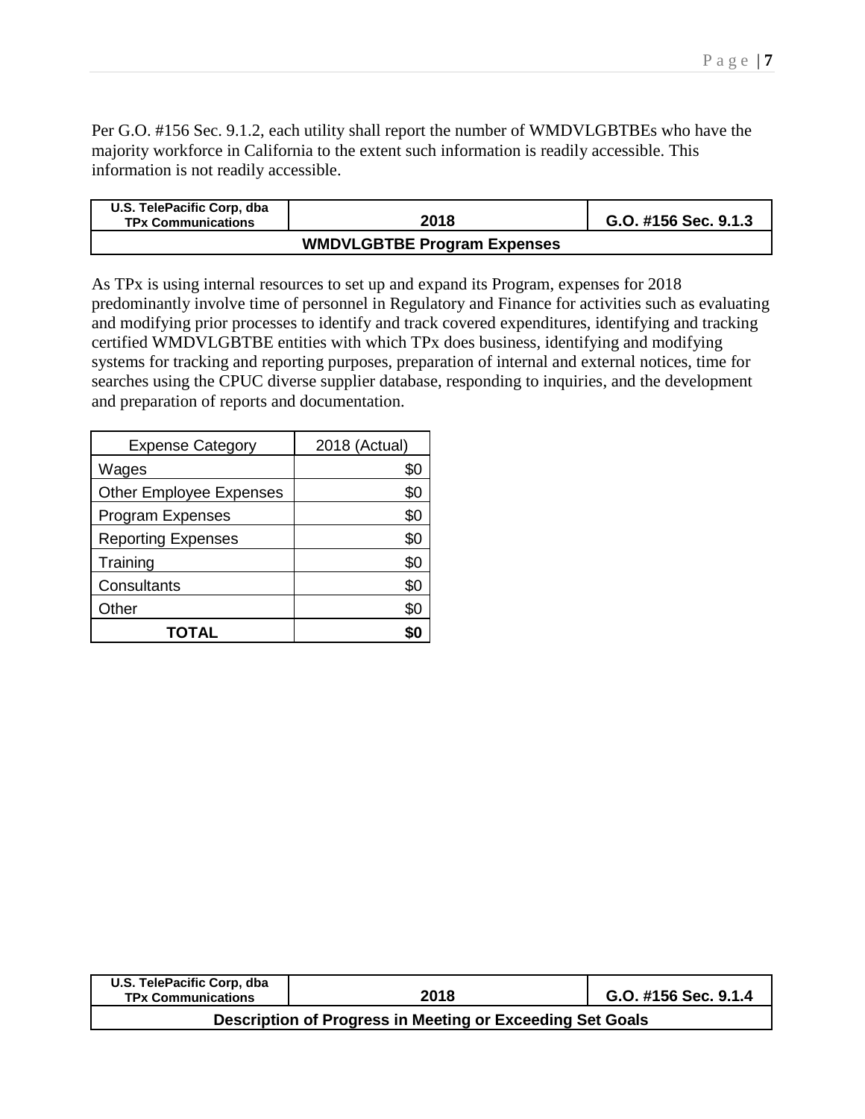Per G.O. #156 Sec. 9.1.2, each utility shall report the number of WMDVLGBTBEs who have the majority workforce in California to the extent such information is readily accessible. This information is not readily accessible.

| U.S. TelePacific Corp, dba<br><b>TPx Communications</b> | 2018                               | G.O. #156 Sec. 9.1.3 |  |  |
|---------------------------------------------------------|------------------------------------|----------------------|--|--|
|                                                         | <b>WMDVLGBTBE Program Expenses</b> |                      |  |  |

As TPx is using internal resources to set up and expand its Program, expenses for 2018 predominantly involve time of personnel in Regulatory and Finance for activities such as evaluating and modifying prior processes to identify and track covered expenditures, identifying and tracking certified WMDVLGBTBE entities with which TPx does business, identifying and modifying systems for tracking and reporting purposes, preparation of internal and external notices, time for searches using the CPUC diverse supplier database, responding to inquiries, and the development and preparation of reports and documentation.

| <b>Expense Category</b>        | 2018 (Actual) |  |  |
|--------------------------------|---------------|--|--|
| Wages                          | \$0           |  |  |
| <b>Other Employee Expenses</b> | \$0           |  |  |
| <b>Program Expenses</b>        | \$0           |  |  |
| <b>Reporting Expenses</b>      | \$0           |  |  |
| Training                       | \$0           |  |  |
| Consultants                    | \$0           |  |  |
| Other                          | \$0           |  |  |
| TOTAL                          |               |  |  |

| U.S. TelePacific Corp, dba<br><b>TPx Communications</b> | 2018                                                      | G.O. #156 Sec. 9.1.4 |  |  |
|---------------------------------------------------------|-----------------------------------------------------------|----------------------|--|--|
|                                                         | Description of Progress in Meeting or Exceeding Set Goals |                      |  |  |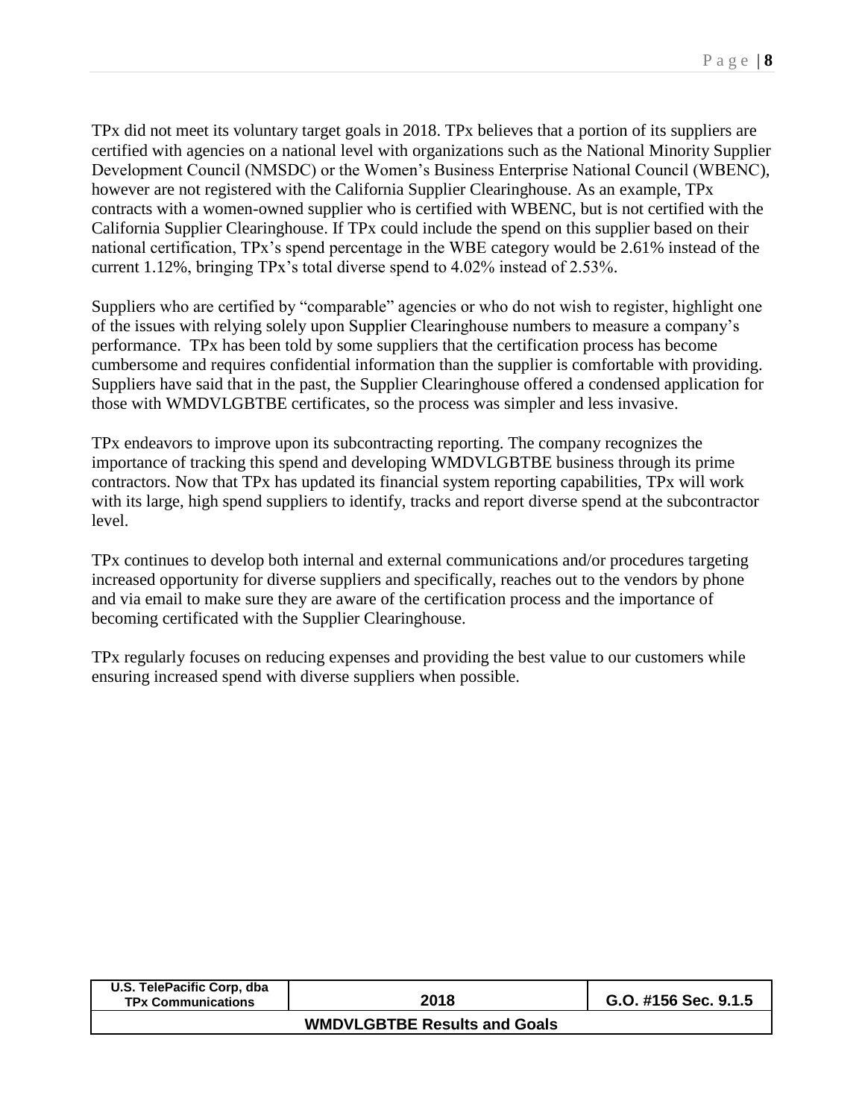TPx did not meet its voluntary target goals in 2018. TPx believes that a portion of its suppliers are certified with agencies on a national level with organizations such as the National Minority Supplier Development Council (NMSDC) or the Women's Business Enterprise National Council (WBENC), however are not registered with the California Supplier Clearinghouse. As an example, TPx contracts with a women-owned supplier who is certified with WBENC, but is not certified with the California Supplier Clearinghouse. If TPx could include the spend on this supplier based on their national certification, TPx's spend percentage in the WBE category would be 2.61% instead of the current 1.12%, bringing TPx's total diverse spend to 4.02% instead of 2.53%.

Suppliers who are certified by "comparable" agencies or who do not wish to register, highlight one of the issues with relying solely upon Supplier Clearinghouse numbers to measure a company's performance. TPx has been told by some suppliers that the certification process has become cumbersome and requires confidential information than the supplier is comfortable with providing. Suppliers have said that in the past, the Supplier Clearinghouse offered a condensed application for those with WMDVLGBTBE certificates, so the process was simpler and less invasive.

TPx endeavors to improve upon its subcontracting reporting. The company recognizes the importance of tracking this spend and developing WMDVLGBTBE business through its prime contractors. Now that TPx has updated its financial system reporting capabilities, TPx will work with its large, high spend suppliers to identify, tracks and report diverse spend at the subcontractor level.

TPx continues to develop both internal and external communications and/or procedures targeting increased opportunity for diverse suppliers and specifically, reaches out to the vendors by phone and via email to make sure they are aware of the certification process and the importance of becoming certificated with the Supplier Clearinghouse.

TPx regularly focuses on reducing expenses and providing the best value to our customers while ensuring increased spend with diverse suppliers when possible.

| U.S. TelePacific Corp, dba<br><b>TPx Communications</b> | 2018                                | G.O. #156 Sec. 9.1.5 |  |  |  |
|---------------------------------------------------------|-------------------------------------|----------------------|--|--|--|
|                                                         | <b>WMDVLGBTBE Results and Goals</b> |                      |  |  |  |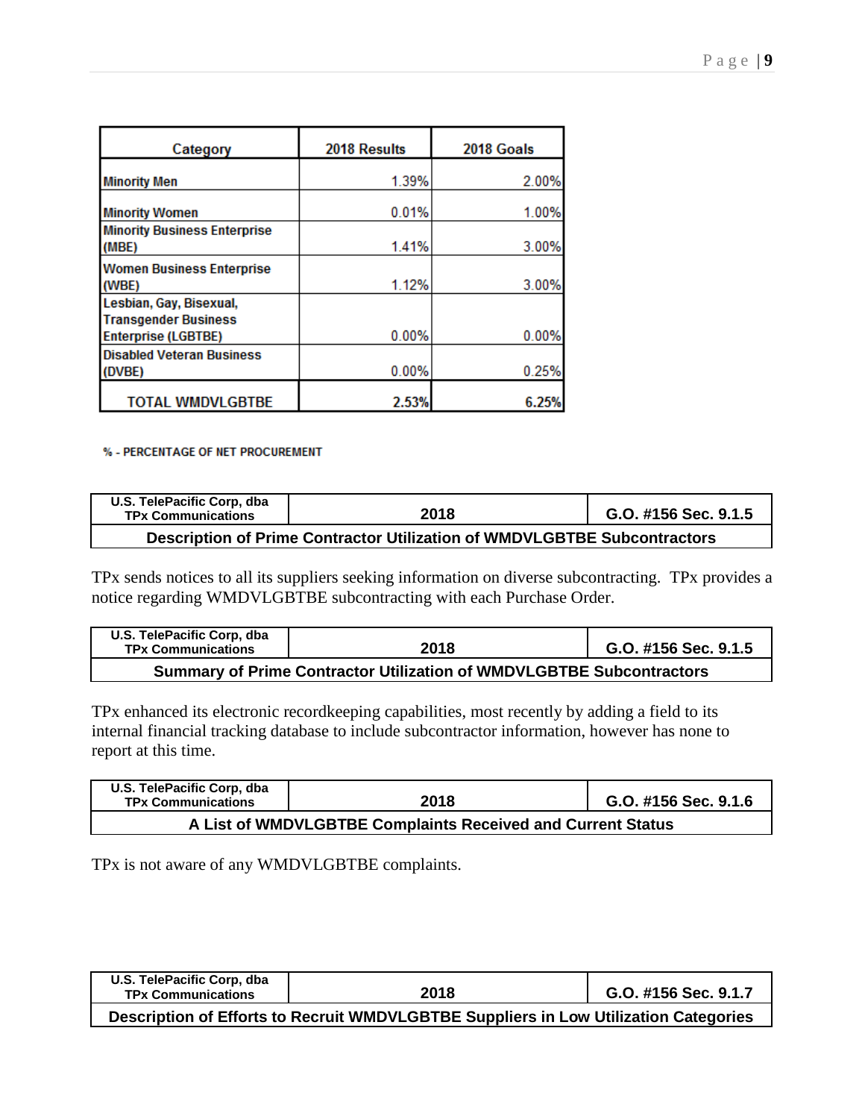| Category                            | 2018 Results | 2018 Goals |  |  |
|-------------------------------------|--------------|------------|--|--|
|                                     |              |            |  |  |
| <b>Minority Men</b>                 | 1.39%        | 2.00%      |  |  |
|                                     |              |            |  |  |
| <b>Minority Women</b>               | 0.01%        | 1.00%      |  |  |
| <b>Minority Business Enterprise</b> |              |            |  |  |
| (MBE)                               | 1.41%        | 3.00%      |  |  |
| <b>Women Business Enterprise</b>    |              |            |  |  |
| (WBE)                               | 1.12%        | 3.00%      |  |  |
| Lesbian, Gay, Bisexual,             |              |            |  |  |
| <b>Transgender Business</b>         |              |            |  |  |
| <b>Enterprise (LGBTBE)</b>          | 0.00%        | 0.00%      |  |  |
| <b>Disabled Veteran Business</b>    |              |            |  |  |
| (DVBE)                              | 0.00%        | 0.25%      |  |  |
|                                     |              |            |  |  |
| <b>TOTAL WMDVLGBTBE</b>             | 2.53%        | 6.25%      |  |  |

## % - PERCENTAGE OF NET PROCUREMENT

| U.S. TelePacific Corp. dba<br><b>TPx Communications</b>                  | 2018 | G.O. #156 Sec. 9.1.5 |  |  |  |  |
|--------------------------------------------------------------------------|------|----------------------|--|--|--|--|
| Description of Prime Contractor Utilization of WMDVLGBTBE Subcontractors |      |                      |  |  |  |  |

TPx sends notices to all its suppliers seeking information on diverse subcontracting. TPx provides a notice regarding WMDVLGBTBE subcontracting with each Purchase Order.

| U.S. TelePacific Corp, dba<br><b>TPx Communications</b>                     | 2018 | G.O. #156 Sec. 9.1.5 |  |  |  |  |  |
|-----------------------------------------------------------------------------|------|----------------------|--|--|--|--|--|
| <b>Summary of Prime Contractor Utilization of WMDVLGBTBE Subcontractors</b> |      |                      |  |  |  |  |  |

TPx enhanced its electronic recordkeeping capabilities, most recently by adding a field to its internal financial tracking database to include subcontractor information, however has none to report at this time.

| U.S. TelePacific Corp, dba<br><b>TPx Communications</b>     | 2018 | G.O. #156 Sec. 9.1.6 |  |  |  |  |  |
|-------------------------------------------------------------|------|----------------------|--|--|--|--|--|
| A List of WMDVLGBTBE Complaints Received and Current Status |      |                      |  |  |  |  |  |

TPx is not aware of any WMDVLGBTBE complaints.

| U.S. TelePacific Corp. dba<br><b>TPx Communications</b>                              | 2018 | G.O. #156 Sec. 9.1.7 |  |  |  |  |  |
|--------------------------------------------------------------------------------------|------|----------------------|--|--|--|--|--|
| Description of Efforts to Recruit WMDVLGBTBE Suppliers in Low Utilization Categories |      |                      |  |  |  |  |  |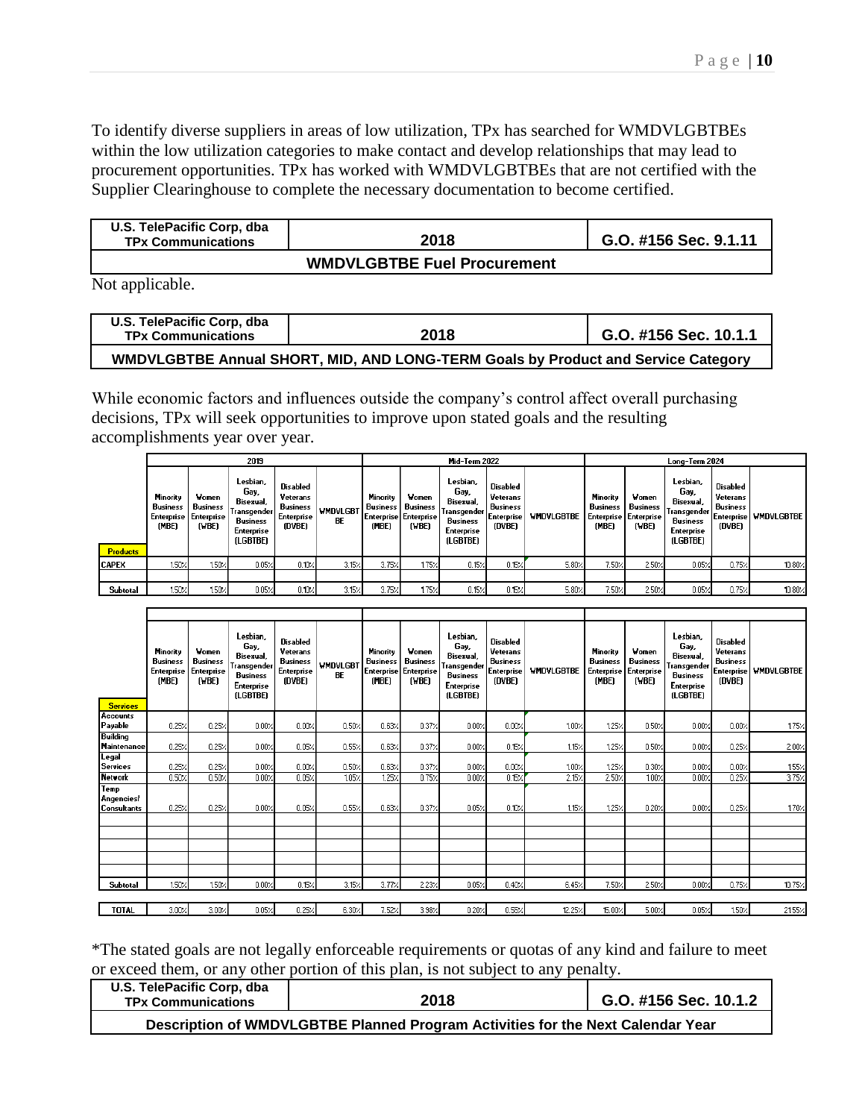To identify diverse suppliers in areas of low utilization, TPx has searched for WMDVLGBTBEs within the low utilization categories to make contact and develop relationships that may lead to procurement opportunities. TPx has worked with WMDVLGBTBEs that are not certified with the Supplier Clearinghouse to complete the necessary documentation to become certified.

| U.S. TelePacific Corp. dba<br><b>TPx Communications</b> | 2018                               | G.O. #156 Sec. 9.1.11 |  |  |
|---------------------------------------------------------|------------------------------------|-----------------------|--|--|
|                                                         | <b>WMDVLGBTBE Fuel Procurement</b> |                       |  |  |

Not applicable.

| U.S. TelePacific Corp. dba<br><b>TPx Communications</b>                           | 2018 | G.O. #156 Sec. 10.1.1 |  |  |  |  |  |
|-----------------------------------------------------------------------------------|------|-----------------------|--|--|--|--|--|
| WMDVLGBTBE Annual SHORT, MID, AND LONG-TERM Goals by Product and Service Category |      |                       |  |  |  |  |  |

While economic factors and influences outside the company's control affect overall purchasing decisions, TPx will seek opportunities to improve upon stated goals and the resulting accomplishments year over year.

|                 |                                                                               | 2019                       |                                                                                           |                                                                 |                              |                                      | Long-Term 2024                                             |                                                                                           |                                                                 |            |                                             |                                                       |                                                                                             |                                                                 |                   |
|-----------------|-------------------------------------------------------------------------------|----------------------------|-------------------------------------------------------------------------------------------|-----------------------------------------------------------------|------------------------------|--------------------------------------|------------------------------------------------------------|-------------------------------------------------------------------------------------------|-----------------------------------------------------------------|------------|---------------------------------------------|-------------------------------------------------------|---------------------------------------------------------------------------------------------|-----------------------------------------------------------------|-------------------|
|                 |                                                                               |                            |                                                                                           |                                                                 |                              | Mid-Term 2022                        |                                                            |                                                                                           |                                                                 |            |                                             |                                                       |                                                                                             |                                                                 |                   |
|                 | <b>Minority</b><br><b>Business</b><br><b>Enterprise   Enterprise</b><br>(MBE) | Women<br>Business<br>(VBE) | Lesbian.<br>Gay,<br>Bisexual,<br>Transgender<br><b>Business</b><br>Enterprise<br>(LGBTBE) | Disabled<br>Veterans<br>Business<br><b>Enterprise</b><br>(DVBE) | <b>WMDVLGBT</b><br><b>BE</b> | <b>Minority</b><br>Business<br>(MBE) | Women<br>Business<br><b>Enterprise Enterprise</b><br>(VBE) | Lesbian.<br>Gay,<br>Bisexual,<br>Transgender<br>Business<br><b>Enterprise</b><br>(LGBTBE) | Disabled<br>Veterans<br>Business<br><b>Enterprise</b><br>(DVBE) | WMDVLGBTBE | <b>Minority</b><br><b>Business</b><br>(MBE) | Women<br>Business<br>Enterprise   Enterprise<br>(WBE) | Lesbian.<br>Gay,<br>Bisexual.<br>Transgender  <br><b>Business</b><br>Enterprise<br>(LGBTBE) | Disabled<br>Veterans<br><b>Business</b><br>Enterprise<br>(DVBE) | <b>WMDVLGBTBE</b> |
| <b>Products</b> |                                                                               |                            |                                                                                           |                                                                 |                              |                                      |                                                            |                                                                                           |                                                                 |            |                                             |                                                       |                                                                                             |                                                                 |                   |
| <b>ICAPEX</b>   | 150%                                                                          | 1.50%                      | 0.05%                                                                                     | 0.10%                                                           | $3.15$ %                     | 3.75%                                | 1.75%                                                      | 0.15%                                                                                     | $0.15\times$                                                    | 5.80%      | 7.50%                                       | 2.50%                                                 | 0.05%                                                                                       | $0.75$ %                                                        | 10.80%            |
|                 |                                                                               |                            |                                                                                           |                                                                 |                              |                                      |                                                            |                                                                                           |                                                                 |            |                                             |                                                       |                                                                                             |                                                                 |                   |
| Subtotal        | 150%                                                                          | 1.50%                      | $0.05$ %                                                                                  | 0.10%                                                           | 3.15%                        | 3.75%                                | 1.75%                                                      | 0.15%                                                                                     | 0.15%                                                           | 5.80%      | 7.50%                                       | 2.50%                                                 | 0.05%                                                                                       | $0.75$ %                                                        | 10.80%            |

| <b>Services</b>                    | Minority<br><b>Business</b><br>Enterprise<br>(MBE) | <b>Women</b><br><b>Business</b><br><b>Enterprise</b><br>(VBE) | Lesbian,<br>Gay,<br>Bisexual,<br>Transgender<br><b>Business</b><br>Enterprise<br>(LGBTBE) | <b>Disabled</b><br>Veterans<br><b>Business</b><br>Enterprise<br>(DVBE) | <b>WMDVLGB1</b><br><b>BE</b> | Minority<br><b>Business</b><br>(MBE) | Women<br><b>Business</b><br>Enterprise Enterprise<br>(VBE) | Lesbian,<br>Gay,<br><b>Bisexual</b><br>Transgender<br><b>Business</b><br><b>Enterprise</b><br>(LGBTBE) | Disabled<br>Veterans<br><b>Business</b><br><b>Enterprise</b><br>(DVBE) | <b>WHDVLGBTBE</b> | Minority<br><b>Business</b><br>Enterprise<br>(MBE) | Women<br><b>Business</b><br>Enterprise<br>(VBE) | Lesbian,<br>Gay,<br><b>Bisexual</b> ,<br>Transgender<br><b>Business</b><br><b>Enterprise</b><br>(LGBTBE) | <b>Disabled</b><br>Veterans<br><b>Business</b><br>Enterprise<br>(DVBE) | <b>WINDVLGBTBE</b> |
|------------------------------------|----------------------------------------------------|---------------------------------------------------------------|-------------------------------------------------------------------------------------------|------------------------------------------------------------------------|------------------------------|--------------------------------------|------------------------------------------------------------|--------------------------------------------------------------------------------------------------------|------------------------------------------------------------------------|-------------------|----------------------------------------------------|-------------------------------------------------|----------------------------------------------------------------------------------------------------------|------------------------------------------------------------------------|--------------------|
| Accounts<br>Payable                | 0.25%                                              | 0.25%                                                         | 0.00%                                                                                     | 0.00%                                                                  | 0.50%                        | 0.63%                                | 0.37%                                                      | 0.00%                                                                                                  | 0.00%                                                                  | $1.00\%$          | 125%                                               | 0.50%                                           | 0.00%                                                                                                    | 0.00%                                                                  | 1.75%              |
| <b>Building</b><br>Maintenance     | 0.25%                                              | 0.25%                                                         | 0.00%                                                                                     | 0.05%                                                                  | 0.55%                        | 0.63%                                | 0.37%                                                      | 0.00%                                                                                                  | $0.15$ %                                                               | 115/              | 1.25%                                              | 0.50%                                           | 0.00%                                                                                                    | $0.25$ %                                                               | 2.00%              |
| Legal<br><b>Services</b>           | 0.25%                                              | 0.25%                                                         | 0.00%                                                                                     | 0.00%                                                                  | 0.50%                        | 0.63%                                | 0.37%                                                      | 0.00%                                                                                                  | $0.00$ %                                                               | 100%              | 1.25%                                              | 0.30%                                           | 0.00%                                                                                                    | 0.00%                                                                  | 155%               |
| <b>Network</b>                     | 0.50%                                              | 0.50%                                                         | 0.00%                                                                                     | 0.05%                                                                  | $1.05\times$                 | 125/                                 | 0.75%                                                      | 0.00%                                                                                                  | 0.15%                                                                  | 2.15%             | 2.50%                                              | 100%                                            | 0.00%                                                                                                    | 0.25%                                                                  | 3.75%              |
| Temp<br>Angencies<br>l Consultants | 0.25%                                              | 0.25%                                                         | 0.00%                                                                                     | 0.05%                                                                  | $0.55\times$                 | 0.63%                                | 0.37%                                                      | 0.05%                                                                                                  | 0.10%                                                                  | 115/              | 1.25%                                              | 0.20%                                           | 0.00%                                                                                                    | 0.25%                                                                  | 1.70%              |
|                                    |                                                    |                                                               |                                                                                           |                                                                        |                              |                                      |                                                            |                                                                                                        |                                                                        |                   |                                                    |                                                 |                                                                                                          |                                                                        |                    |
|                                    |                                                    |                                                               |                                                                                           |                                                                        |                              |                                      |                                                            |                                                                                                        |                                                                        |                   |                                                    |                                                 |                                                                                                          |                                                                        |                    |
| <b>Subtotal</b>                    | 150%                                               | 150%                                                          | 0.00%                                                                                     | 0.15%                                                                  | $3.15\times$                 | 3.77%                                | 2.23%                                                      | 0.05%                                                                                                  | 0.40%                                                                  | 6.45%             | 7.50%                                              | 2.50%                                           | 0.00%                                                                                                    | 0.75%                                                                  | 10.75%             |
|                                    |                                                    |                                                               |                                                                                           |                                                                        |                              |                                      |                                                            |                                                                                                        |                                                                        |                   |                                                    |                                                 |                                                                                                          |                                                                        |                    |
| TOTAL                              | 3.00%                                              | 3.00%                                                         | 0.05%                                                                                     | 0.25%                                                                  | 6.30%                        | 7.52%                                | 3.98%                                                      | 0.20%                                                                                                  | $0.55$ %                                                               | 12.25%            | 15.00%                                             | 5.00%                                           | 0.05%                                                                                                    | 1.50%                                                                  | 21.55%             |

\*The stated goals are not legally enforceable requirements or quotas of any kind and failure to meet or exceed them, or any other portion of this plan, is not subject to any penalty.

| U.S. TelePacific Corp, dba<br><b>TPx Communications</b>                         | 2018 | G.O. #156 Sec. 10.1.2 |  |  |  |  |  |
|---------------------------------------------------------------------------------|------|-----------------------|--|--|--|--|--|
| Description of WMDVLGBTBE Planned Program Activities for the Next Calendar Year |      |                       |  |  |  |  |  |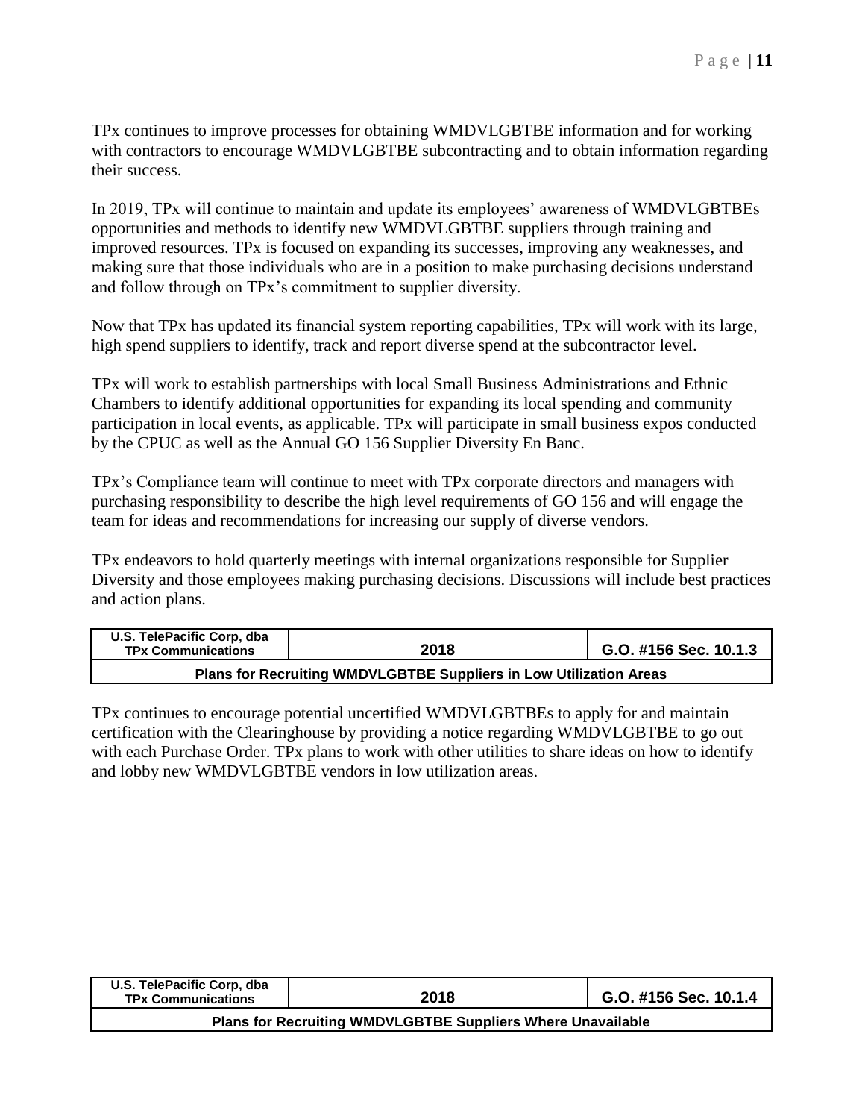TPx continues to improve processes for obtaining WMDVLGBTBE information and for working with contractors to encourage WMDVLGBTBE subcontracting and to obtain information regarding their success.

In 2019, TPx will continue to maintain and update its employees' awareness of WMDVLGBTBEs opportunities and methods to identify new WMDVLGBTBE suppliers through training and improved resources. TPx is focused on expanding its successes, improving any weaknesses, and making sure that those individuals who are in a position to make purchasing decisions understand and follow through on TPx's commitment to supplier diversity.

Now that TPx has updated its financial system reporting capabilities, TPx will work with its large, high spend suppliers to identify, track and report diverse spend at the subcontractor level.

TPx will work to establish partnerships with local Small Business Administrations and Ethnic Chambers to identify additional opportunities for expanding its local spending and community participation in local events, as applicable. TPx will participate in small business expos conducted by the CPUC as well as the Annual GO 156 Supplier Diversity En Banc.

TPx's Compliance team will continue to meet with TPx corporate directors and managers with purchasing responsibility to describe the high level requirements of GO 156 and will engage the team for ideas and recommendations for increasing our supply of diverse vendors.

TPx endeavors to hold quarterly meetings with internal organizations responsible for Supplier Diversity and those employees making purchasing decisions. Discussions will include best practices and action plans.

| U.S. TelePacific Corp, dba<br><b>TPx Communications</b>            | 2018 | G.O. #156 Sec. 10.1.3 |  |  |  |  |
|--------------------------------------------------------------------|------|-----------------------|--|--|--|--|
| Plans for Recruiting WMDVLGBTBE Suppliers in Low Utilization Areas |      |                       |  |  |  |  |

TPx continues to encourage potential uncertified WMDVLGBTBEs to apply for and maintain certification with the Clearinghouse by providing a notice regarding WMDVLGBTBE to go out with each Purchase Order. TPx plans to work with other utilities to share ideas on how to identify and lobby new WMDVLGBTBE vendors in low utilization areas.

| U.S. TelePacific Corp. dba<br><b>TPx Communications</b>     | 2018 | G.O. #156 Sec. 10.1.4 |  |  |  |  |  |
|-------------------------------------------------------------|------|-----------------------|--|--|--|--|--|
| Plans for Recruiting WMDVLGBTBE Suppliers Where Unavailable |      |                       |  |  |  |  |  |